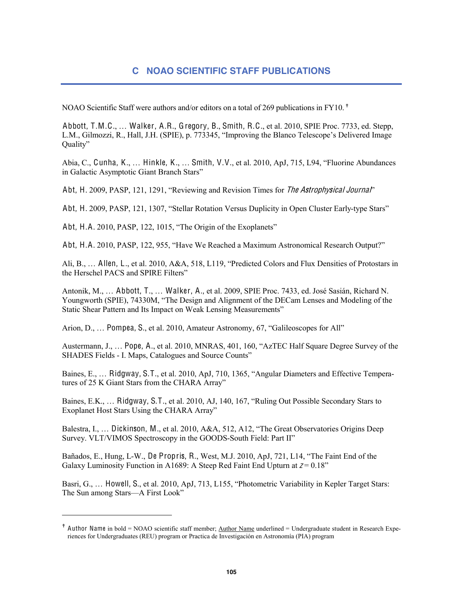NOAO Scientific Staff were authors and/or editors on a total of 269 publications in FY10.<sup>†</sup>

Abbott, T.M.C., ... Walker, A.R., Gregory, B., Smith, R.C., et al. 2010, SPIE Proc. 7733, ed. Stepp, L.M., Gilmozzi, R., Hall, J.H. (SPIE), p. 773345, "Improving the Blanco Telescope's Delivered Image Ouality"

Abia, C., Cunha, K., ... Hinkle, K., ... Smith, V.V., et al. 2010, ApJ, 715, L94, "Fluorine Abundances in Galactic Asymptotic Giant Branch Stars"

Abt, H. 2009, PASP, 121, 1291, "Reviewing and Revision Times for The Astrophysical Journal"

Abt, H. 2009, PASP, 121, 1307, "Stellar Rotation Versus Duplicity in Open Cluster Early-type Stars"

Abt, H.A. 2010, PASP, 122, 1015, "The Origin of the Exoplanets"

Abt, H.A. 2010, PASP, 122, 955, "Have We Reached a Maximum Astronomical Research Output?"

Ali, B., ... Allen, L., et al. 2010, A&A, 518, L119, "Predicted Colors and Flux Densities of Protostars in the Herschel PACS and SPIRE Filters"

Antonik, M., ... Abbott, T., ... Walker, A., et al. 2009, SPIE Proc. 7433, ed. José Sasián, Richard N. Youngworth (SPIE), 74330M, "The Design and Alignment of the DECam Lenses and Modeling of the Static Shear Pattern and Its Impact on Weak Lensing Measurements"

Arion, D., ... Pompea, S., et al. 2010, Amateur Astronomy, 67, "Galileoscopes for All"

Austermann, J., ... Pope, A., et al. 2010, MNRAS, 401, 160, "AzTEC Half Square Degree Survey of the SHADES Fields - I. Maps, Catalogues and Source Counts"

Baines, E., ... Ridgway, S.T., et al. 2010, ApJ, 710, 1365, "Angular Diameters and Effective Temperatures of 25 K Giant Stars from the CHARA Array"

Baines, E.K., ... Ridgway, S.T., et al. 2010, AJ, 140, 167, "Ruling Out Possible Secondary Stars to Exoplanet Host Stars Using the CHARA Array"

Balestra, I., ... Dickinson, M., et al. 2010, A&A, 512, A12, "The Great Observatories Origins Deep Survey. VLT/VIMOS Spectroscopy in the GOODS-South Field: Part II"

Bañados, E., Hung, L-W., De Propris, R., West, M.J. 2010, ApJ, 721, L14, "The Faint End of the Galaxy Luminosity Function in A1689: A Steep Red Faint End Upturn at  $z = 0.18$ "

Basri, G., ... Howell, S., et al. 2010, ApJ, 713, L155, "Photometric Variability in Kepler Target Stars: The Sun among Stars—A First Look"

<sup>&</sup>lt;sup>†</sup> Author Name in bold = NOAO scientific staff member; Author Name underlined = Undergraduate student in Research Experiences for Undergraduates (REU) program or Practica de Investigación en Astronomía (PIA) program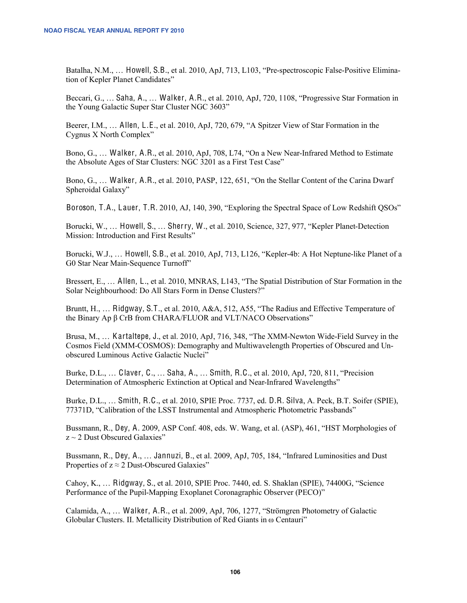Batalha, N.M., ... Howell, S.B., et al. 2010, ApJ, 713, L103, "Pre-spectroscopic False-Positive Elimination of Kepler Planet Candidates"

Beccari, G., ... Saha, A., ... Walker, A.R., et al. 2010, ApJ, 720, 1108, "Progressive Star Formation in the Young Galactic Super Star Cluster NGC 3603"

Beerer, I.M., ... Allen, L.E., et al. 2010, ApJ, 720, 679, "A Spitzer View of Star Formation in the Cygnus X North Complex"

Bono, G., ... Walker, A.R., et al. 2010, ApJ, 708, L74, "On a New Near-Infrared Method to Estimate the Absolute Ages of Star Clusters: NGC 3201 as a First Test Case"

Bono, G., ... Walker, A.R., et al. 2010, PASP, 122, 651, "On the Stellar Content of the Carina Dwarf Spheroidal Galaxy"

Boroson, T.A., Lauer, T.R. 2010, AJ, 140, 390, "Exploring the Spectral Space of Low Redshift QSOs"

Borucki, W., ... Howell, S., ... Sherry, W., et al. 2010, Science, 327, 977, "Kepler Planet-Detection Mission: Introduction and First Results"

Borucki, W.J.,  $\ldots$  Howell, S.B., et al. 2010, ApJ, 713, L126, "Kepler-4b: A Hot Neptune-like Planet of a G0 Star Near Main-Sequence Turnoff"

Bressert, E., ... Allen, L., et al. 2010, MNRAS, L143, "The Spatial Distribution of Star Formation in the Solar Neighbourhood: Do All Stars Form in Dense Clusters?"

Bruntt, H., ... Ridgway, S.T., et al. 2010, A&A, 512, A55, "The Radius and Effective Temperature of the Binary Ap β CrB from CHARA/FLUOR and VLT/NACO Observations"

Brusa, M.,  $\ldots$  Kartaltepe, J., et al. 2010, ApJ, 716, 348, "The XMM-Newton Wide-Field Survey in the Cosmos Field (XMM-COSMOS): Demography and Multiwavelength Properties of Obscured and Un obscured Luminous Active Galactic Nuclei"

Burke, D.L., ... Claver, C., ... Saha, A., ... Smith, R.C., et al. 2010, ApJ, 720, 811, "Precision Determination of Atmospheric Extinction at Optical and Near-Infrared Wavelengths"

Burke, D.L., ... Smith, R.C., et al. 2010, SPIE Proc. 7737, ed. D.R. Silva, A. Peck, B.T. Soifer (SPIE), 77371D, "Calibration of the LSST Instrumental and Atmospheric Photometric Passbands"

Bussmann, R., Dey, A. 2009, ASP Conf. 408, eds. W. Wang, et al. (ASP), 461, "HST Morphologies of  $z \sim 2$  Dust Obscured Galaxies"

Bussmann, R., Dey, A.,  $\ldots$  Jannuzi, B., et al. 2009, ApJ, 705, 184, "Infrared Luminosities and Dust Properties of  $z \approx 2$  Dust-Obscured Galaxies"

Cahoy, K., ... Ridgway, S., et al. 2010, SPIE Proc. 7440, ed. S. Shaklan (SPIE), 74400G, "Science" Performance of the Pupil-Mapping Exoplanet Coronagraphic Observer (PECO)"

Calamida, A., ... Walker, A.R., et al. 2009, ApJ, 706, 1277, "Strömgren Photometry of Galactic Globular Clusters. II. Metallicity Distribution of Red Giants in  $\omega$  Centauri"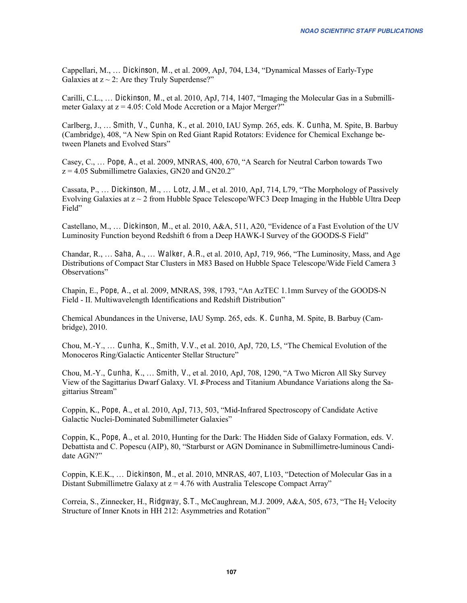Cappellari, M., ... Dickinson, M., et al. 2009, ApJ, 704, L34, "Dynamical Masses of Early-Type Galaxies at  $z \sim 2$ : Are they Truly Superdense?"

Carilli, C.L., ... Dickinson, M., et al. 2010, ApJ, 714, 1407, "Imaging the Molecular Gas in a Submillimeter Galaxy at  $z = 4.05$ : Cold Mode Accretion or a Major Merger?"

Carlberg, J., ... Smith, V., Cunha, K., et al. 2010, IAU Symp. 265, eds. K. Cunha, M. Spite, B. Barbuy (Cambridge), 408, "A New Spin on Red Giant Rapid Rotators: Evidence for Chemical Exchange between Planets and Evolved Stars"

Casey, C., ... Pope, A., et al. 2009, MNRAS, 400, 670, "A Search for Neutral Carbon towards Two  $z = 4.05$  Submillimetre Galaxies, GN20 and GN20.2"

Cassata, P., ... Dickinson, M., ... Lotz, J.M., et al. 2010, ApJ, 714, L79, "The Morphology of Passively Evolving Galaxies at  $z \sim 2$  from Hubble Space Telescope/WFC3 Deep Imaging in the Hubble Ultra Deep Field"

Castellano, M., ... Dickinson, M., et al. 2010, A&A, 511, A20, "Evidence of a Fast Evolution of the UV Luminosity Function beyond Redshift 6 from a Deep HAWK-I Survey of the GOODS-S Field"

Chandar, R., ... Saha, A., ... Walker, A.R., et al. 2010, ApJ, 719, 966, "The Luminosity, Mass, and Age Distributions of Compact Star Clusters in M83 Based on Hubble Space Telescope/Wide Field Camera 3 Observations"

Chapin, E., Pope, A., et al. 2009, MNRAS, 398, 1793, "An AzTEC 1.1mm Survey of the GOODS-N Field - II. Multiwavelength Identifications and Redshift Distribution"

Chemical Abundances in the Universe, IAU Symp. 265, eds. K. Cunha, M. Spite, B. Barbuy (Cambridge), 2010.

Chou, M.-Y., ... Cunha, K., Smith, V.V., et al. 2010, ApJ, 720, L5, "The Chemical Evolution of the Monoceros Ring/Galactic Anticenter Stellar Structure"

Chou, M.-Y., Cunha, K., ... Smith, V., et al. 2010, ApJ, 708, 1290, "A Two Micron All Sky Survey View of the Sagittarius Dwarf Galaxy, VI. 5-Process and Titanium Abundance Variations along the Sagittarius Stream"

Coppin, K., Pope, A., et al. 2010, ApJ, 713, 503, "Mid-Infrared Spectroscopy of Candidate Active Galactic Nuclei-Dominated Submillimeter Galaxies"

Coppin, K., Pope, A., et al. 2010, Hunting for the Dark: The Hidden Side of Galaxy Formation, eds. V. Debattista and C. Popescu (AIP), 80, "Starburst or AGN Dominance in Submillimetre-luminous Candidate AGN?"

Coppin, K.E.K., ... Dickinson, M., et al. 2010, MNRAS, 407, L103, "Detection of Molecular Gas in a Distant Submillimetre Galaxy at  $z = 4.76$  with Australia Telescope Compact Array"

Correia, S., Zinnecker, H., Ridgway, S.T., McCaughrean, M.J. 2009, A&A, 505, 673, "The H<sub>2</sub> Velocity Structure of Inner Knots in HH 212: Asymmetries and Rotation"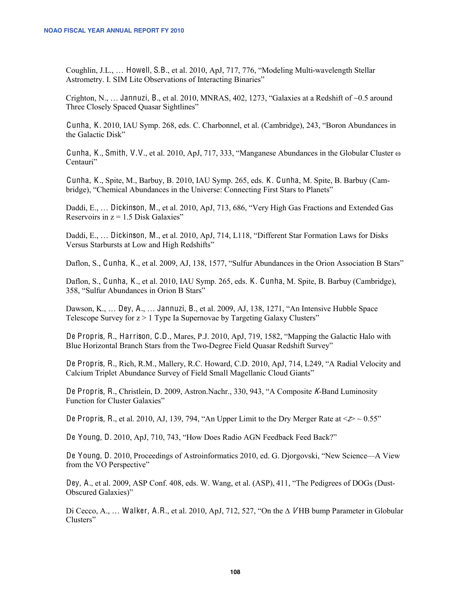Coughlin, J.L., ... Howell, S.B., et al. 2010, ApJ, 717, 776, "Modeling Multi-wavelength Stellar Astrometry. I. SIM Lite Observations of Interacting Binaries"

Crighton, N., ... Jannuzi, B., et al. 2010, MNRAS, 402, 1273, "Galaxies at a Redshift of  $\sim 0.5$  around Three Closely Spaced Quasar Sightlines"

Cunha, K. 2010, IAU Symp. 268, eds. C. Charbonnel, et al. (Cambridge), 243, "Boron Abundances in the Galactic Disk"

Cunha, K., Smith, V.V., et al. 2010, ApJ, 717, 333, "Manganese Abundances in the Globular Cluster  $\omega$ Centauri"

Cunha, K., Spite, M., Barbuy, B. 2010, IAU Symp. 265, eds. K. Cunha, M. Spite, B. Barbuy (Cambridge), "Chemical Abundances in the Universe: Connecting First Stars to Planets"

Daddi, E., ... Dickinson, M., et al. 2010, ApJ, 713, 686, "Very High Gas Fractions and Extended Gas Reservoirs in  $z = 1.5$  Disk Galaxies"

Daddi, E., ... Dickinson, M., et al. 2010, ApJ, 714, L118, "Different Star Formation Laws for Disks Versus Starbursts at Low and High Redshifts"

Daflon, S., Cunha, K., et al. 2009, AJ. 138, 1577, "Sulfur Abundances in the Orion Association B Stars"

Daflon, S., Cunha, K., et al. 2010, IAU Symp. 265, eds. K. Cunha, M. Spite, B. Barbuy (Cambridge), 358, "Sulfur Abundances in Orion B Stars"

Dawson, K.,  $\ldots$  Dey, A.,  $\ldots$  Jannuzi, B., et al. 2009, AJ, 138, 1271, "An Intensive Hubble Space Telescope Survey for  $z > 1$  Type Ia Supernovae by Targeting Galaxy Clusters"

De Propris, R., Harrison, C.D., Mares, P.J. 2010, ApJ, 719, 1582, "Mapping the Galactic Halo with Blue Horizontal Branch Stars from the Two-Degree Field Quasar Redshift Survey"

De Propris, R., Rich, R.M., Mallery, R.C. Howard, C.D. 2010, ApJ, 714, L249, "A Radial Velocity and Calcium Triplet Abundance Survey of Field Small Magellanic Cloud Giants"

De Propris, R., Christlein, D. 2009, Astron. Nachr., 330, 943, "A Composite K-Band Luminosity Function for Cluster Galaxies"

De Propris, R., et al. 2010, AJ, 139, 794, "An Upper Limit to the Dry Merger Rate at  $\langle \gg \sim 0.55 \rangle$ "

De Young, D. 2010, ApJ, 710, 743, "How Does Radio AGN Feedback Feed Back?"

De Young, D. 2010, Proceedings of Astroinformatics 2010, ed. G. Djorgovski, "New Science—A View" from the VO Perspective"

Dey, A., et al. 2009, ASP Conf.  $408$ , eds. W. Wang, et al. (ASP),  $411$ , "The Pedigrees of DOGs (Dust-Obscured Galaxies)"

Di Cecco, A., ... Walker, A.R., et al. 2010, ApJ, 712, 527, "On the  $\Delta$  VHB bump Parameter in Globular Clusters"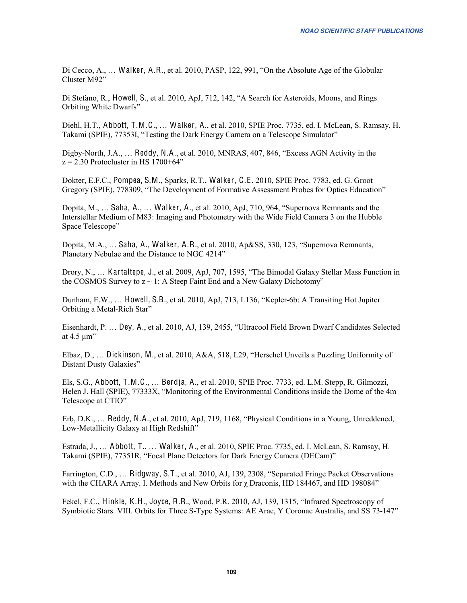Di Cecco, A., ... Walker, A.R., et al. 2010, PASP, 122, 991, "On the Absolute Age of the Globular Cluster M92"

Di Stefano, R., Howell, S., et al. 2010, ApJ, 712, 142, "A Search for Asteroids, Moons, and Rings Orbiting White Dwarfs"

Diehl, H.T., Abbott, T.M.C., ... Walker, A., et al. 2010, SPIE Proc. 7735, ed. I. McLean, S. Ramsay, H. Takami (SPIE), 77353I, "Testing the Dark Energy Camera on a Telescope Simulator"

Digby-North, J.A., ... Reddy, N.A., et al. 2010, MNRAS, 407, 846, "Excess AGN Activity in the  $z = 2.30$  Protocluster in HS 1700+64"

Dokter, E.F.C., Pompea, S.M., Sparks, R.T., Walker, C.E. 2010, SPIE Proc. 7783, ed. G. Groot Gregory (SPIE), 778309, "The Development of Formative Assessment Probes for Optics Education"

Dopita, M., ... Saha, A., ... Walker, A., et al. 2010, ApJ, 710, 964, "Supernova Remnants and the Interstellar Medium of M83: Imaging and Photometry with the Wide Field Camera 3 on the Hubble Space Telescope"

Dopita, M.A., ... Saha, A., Walker, A.R., et al. 2010, Ap&SS, 330, 123, "Supernova Remnants, Planetary Nebulae and the Distance to NGC 4214"

Drory, N., ... Kartaltepe, J., et al. 2009, ApJ, 707, 1595, "The Bimodal Galaxy Stellar Mass Function in the COSMOS Survey to  $z \sim 1$ : A Steep Faint End and a New Galaxy Dichotomy"

Dunham, E.W., ... Howell, S.B., et al. 2010, ApJ, 713, L136, "Kepler-6b: A Transiting Hot Jupiter Orbiting a Metal-Rich Star"

Eisenhardt, P. ... Dey, A., et al. 2010, AJ, 139, 2455, "Ultracool Field Brown Dwarf Candidates Selected at  $4.5 \mu m$ "

Elbaz, D., ... Dickinson, M., et al. 2010, A&A, 518, L29, "Herschel Unveils a Puzzling Uniformity of Distant Dusty Galaxies"

Els, S.G., Abbott, T.M.C., ... Berdja, A., et al. 2010, SPIE Proc. 7733, ed. L.M. Stepp, R. Gilmozzi, Helen J. Hall (SPIE), 77333X, "Monitoring of the Environmental Conditions inside the Dome of the 4m Telescope at CTIO"

Erb, D.K., ... Reddy, N.A., et al. 2010, ApJ, 719, 1168, "Physical Conditions in a Young, Unreddened, Low-Metallicity Galaxy at High Redshift"

Estrada, J., ... Abbott, T., ... Walker, A., et al. 2010, SPIE Proc. 7735, ed. I. McLean, S. Ramsay, H. Takami (SPIE), 77351R, "Focal Plane Detectors for Dark Energy Camera (DECam)"

Farrington, C.D., ... Ridgway, S.T., et al. 2010, AJ, 139, 2308, "Separated Fringe Packet Observations with the CHARA Array. I. Methods and New Orbits for  $\gamma$  Draconis, HD 184467, and HD 198084"

Fekel, F.C., Hinkle, K.H., Joyce, R.R., Wood, P.R. 2010, AJ, 139, 1315, "Infrared Spectroscopy of Symbiotic Stars. VIII. Orbits for Three S-Type Systems: AE Arae, Y Coronae Australis, and SS 73-147"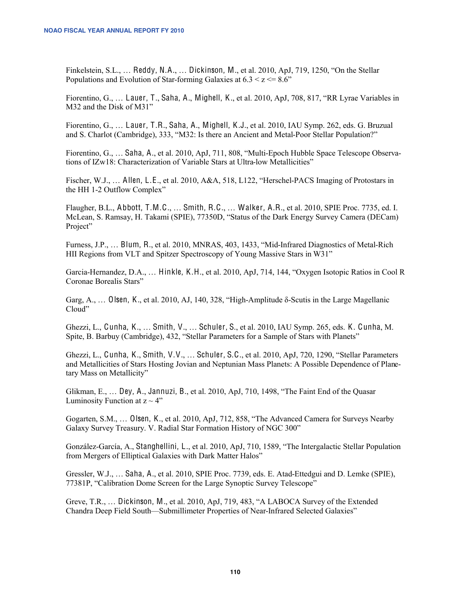Finkelstein, S.L., ... Reddy, N.A., ... Dickinson, M., et al. 2010, ApJ, 719, 1250, "On the Stellar Populations and Evolution of Star-forming Galaxies at  $6.3 < z < 8.6$ "

Fiorentino, G., ... Lauer, T., Saha, A., Mighell, K., et al. 2010, ApJ, 708, 817, "RR Lyrae Variables in M32 and the Disk of M31"

Fiorentino, G., ... Lauer, T.R., Saha, A., Mighell, K.J., et al. 2010, IAU Symp. 262, eds. G. Bruzual and S. Charlot (Cambridge), 333, "M32: Is there an Ancient and Metal-Poor Stellar Population?"

Fiorentino, G., ... Saha, A., et al. 2010, ApJ, 711, 808, "Multi-Epoch Hubble Space Telescope Observations of IZw18: Characterization of Variable Stars at Ultra-low Metallicities"

Fischer, W.J., ... Allen, L.E., et al. 2010, A&A, 518, L122, "Herschel-PACS Imaging of Protostars in the HH 1-2 Outflow Complex"

Flaugher, B.L., Abbott, T.M.C., ... Smith, R.C., ... Walker, A.R., et al. 2010, SPIE Proc. 7735, ed. I. McLean, S. Ramsay, H. Takami (SPIE), 77350D, "Status of the Dark Energy Survey Camera (DECam) Project"

Furness, J.P., ... Blum, R., et al. 2010, MNRAS, 403, 1433, "Mid-Infrared Diagnostics of Metal-Rich HII Regions from VLT and Spitzer Spectroscopy of Young Massive Stars in W31"

Garcia-Hernandez, D.A., ... Hinkle, K.H., et al. 2010, ApJ, 714, 144, "Oxygen Isotopic Ratios in Cool R Coronae Borealis Stars"

Garg, A., ... Olsen, K., et al. 2010, AJ, 140, 328, "High-Amplitude  $\delta$ -Scutis in the Large Magellanic Cloud"

Ghezzi, L., Cunha, K., ... Smith, V., ... Schuler, S., et al. 2010, IAU Symp. 265, eds. K. Cunha, M. Spite, B. Barbuy (Cambridge), 432, "Stellar Parameters for a Sample of Stars with Planets"

Ghezzi, L., Cunha, K., Smith, V.V., ... Schuler, S.C., et al. 2010, ApJ, 720, 1290, "Stellar Parameters and Metallicities of Stars Hosting Jovian and Neptunian Mass Planets: A Possible Dependence of Planetary Mass on Metallicity"

Glikman, E., ... Dev. A., Jannuzi, B., et al. 2010, ApJ, 710, 1498. "The Faint End of the Quasar Luminosity Function at  $z \sim 4$ "

Gogarten, S.M., ... Olsen, K., et al. 2010, ApJ, 712, 858, "The Advanced Camera for Surveys Nearby Galaxy Survey Treasury. V. Radial Star Formation History of NGC 300"

González-García, A., Stanghellini, L., et al. 2010, ApJ, 710, 1589, "The Intergalactic Stellar Population from Mergers of Elliptical Galaxies with Dark Matter Halos"

Gressler, W.J., ... Saha, A., et al. 2010, SPIE Proc. 7739, eds. E. Atad-Ettedgui and D. Lemke (SPIE), 77381P, "Calibration Dome Screen for the Large Synoptic Survey Telescope"

Greve, T.R., ... Dickinson, M., et al. 2010, ApJ, 719, 483, "A LABOCA Survey of the Extended Chandra Deep Field South—Submillimeter Properties of Near-Infrared Selected Galaxies"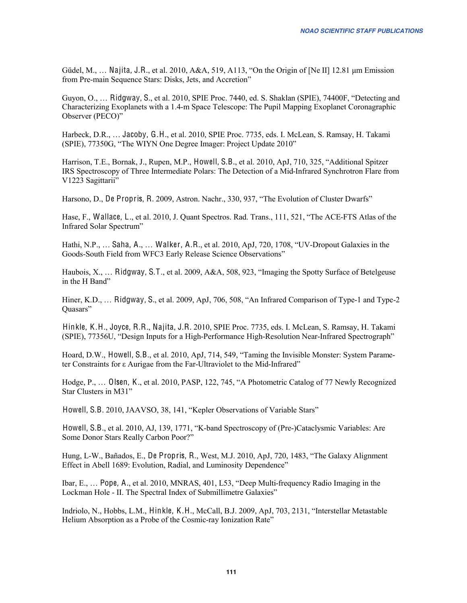Güdel, M., ... Najita, J.R., et al. 2010, A&A, 519, A113, "On the Origin of [Ne II] 12.81 µm Emission from Pre-main Sequence Stars: Disks, Jets, and Accretion"

Guyon, O., ... Ridgway, S., et al. 2010, SPIE Proc. 7440, ed. S. Shaklan (SPIE), 74400F, "Detecting and Characterizing Exoplanets with a 1.4-m Space Telescope: The Pupil Mapping Exoplanet Coronagraphic Observer (PECO)"

Harbeck, D.R., ... Jacoby, G.H., et al. 2010, SPIE Proc. 7735, eds. I. McLean, S. Ramsay, H. Takami (SPIE), 77350G, "The WIYN One Degree Imager: Project Update 2010"

Harrison, T.E., Bornak, J., Rupen, M.P., Howell, S.B., et al. 2010, ApJ, 710, 325, "Additional Spitzer IRS Spectroscopy of Three Intermediate Polars: The Detection of a Mid-Infrared Synchrotron Flare from V1223 Sagittarii"

Harsono, D., De Propris, R. 2009, Astron. Nachr., 330, 937, "The Evolution of Cluster Dwarfs"

Hase, F., Wallace, L., et al. 2010, J. Quant Spectros. Rad. Trans., 111, 521, "The ACE-FTS Atlas of the Infrared Solar Spectrum"

Hathi, N.P., ... Saha, A., ... Walker, A.R., et al. 2010, ApJ, 720, 1708, "UV-Dropout Galaxies in the Goods-South Field from WFC3 Early Release Science Observations"

Haubois, X., ... Ridgway, S.T., et al. 2009, A&A, 508, 923, "Imaging the Spotty Surface of Betelgeuse in the H Band"

Hiner, K.D., ... Ridgway, S., et al. 2009, ApJ, 706, 508, "An Infrared Comparison of Type-1 and Type-2 Quasars"

Hinkle, K.H., Joyce, R.R., Najita, J.R. 2010, SPIE Proc. 7735, eds. I. McLean, S. Ramsay, H. Takami (SPIE), 77356U, "Design Inputs for a High-Performance High-Resolution Near-Infrared Spectrograph"

Hoard, D.W., Howell, S.B., et al. 2010, ApJ, 714, 549, "Taming the Invisible Monster: System Parameter Constraints for ε Aurigae from the Far-Ultraviolet to the Mid-Infrared"

Hodge, P., ... Olsen, K., et al. 2010, PASP, 122, 745, "A Photometric Catalog of 77 Newly Recognized Star Clusters in M31"

Howell, S.B. 2010, JAAVSO, 38, 141, "Kepler Observations of Variable Stars"

Howell, S.B., et al. 2010, AJ, 139, 1771, "K-band Spectroscopy of (Pre-)Cataclysmic Variables: Are Some Donor Stars Really Carbon Poor?"

Hung, L-W., Bañados, E., De Propris, R., West, M.J. 2010, ApJ, 720, 1483, "The Galaxy Alignment Effect in Abell 1689: Evolution, Radial, and Luminosity Dependence"

Ibar, E., ... Pope, A., et al. 2010, MNRAS, 401, L53, "Deep Multi-frequency Radio Imaging in the Lockman Hole - II. The Spectral Index of Submillimetre Galaxies"

Indriolo, N., Hobbs, L.M., Hinkle, K.H., McCall, B.J. 2009, ApJ, 703, 2131, "Interstellar Metastable Helium Absorption as a Probe of the Cosmic-ray Ionization Rate"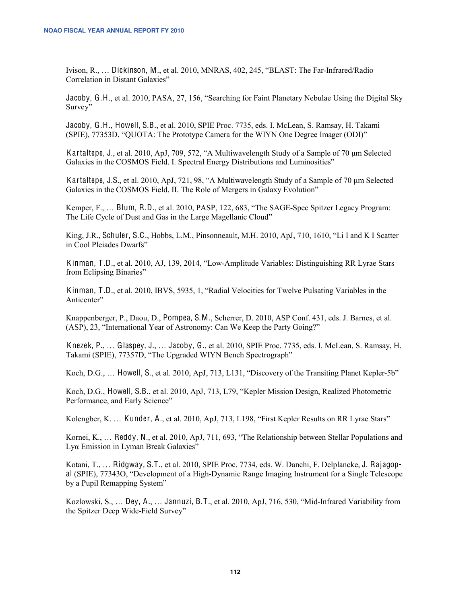Ivison, R., ... Dickinson, M., et al. 2010, MNRAS, 402, 245, "BLAST: The Far-Infrared/Radio Correlation in Distant Galaxies"

Jacoby, G.H., et al. 2010, PASA, 27, 156, "Searching for Faint Planetary Nebulae Using the Digital Sky Survey"

Jacoby, G.H., Howell, S.B., et al. 2010, SPIE Proc. 7735, eds. I. McLean, S. Ramsay, H. Takami (SPIE), 77353D, "QUOTA: The Prototype Camera for the WIYN One Degree Imager (ODI)"

Kartaltepe, J., et al. 2010, ApJ, 709, 572, "A Multiwavelength Study of a Sample of 70 µm Selected Galaxies in the COSMOS Field. I. Spectral Energy Distributions and Luminosities"

Kartaltepe, J.S., et al. 2010, ApJ, 721, 98, "A Multiwavelength Study of a Sample of 70 µm Selected Galaxies in the COSMOS Field. II. The Role of Mergers in Galaxy Evolution"

Kemper, F., ... Blum, R.D., et al. 2010, PASP, 122, 683, "The SAGE-Spec Spitzer Legacy Program: The Life Cycle of Dust and Gas in the Large Magellanic Cloud"

King, J.R., Schuler, S.C., Hobbs, L.M., Pinsonneault, M.H. 2010, ApJ, 710, 1610, "Li I and K I Scatter in Cool Pleiades Dwarfs"

Kinman, T.D., et al. 2010, AJ, 139, 2014, "Low-Amplitude Variables: Distinguishing RR Lyrae Stars from Eclipsing Binaries"

Kinman, T.D., et al. 2010, IBVS, 5935, 1, "Radial Velocities for Twelve Pulsating Variables in the Anticenter"

Knappenberger, P., Daou, D., Pompea, S.M., Scherrer, D. 2010, ASP Conf. 431, eds. J. Barnes, et al. (ASP), 23, "International Year of Astronomy: Can We Keep the Party Going?"

Knezek, P., ... Glaspey, J., ... Jacoby, G., et al. 2010, SPIE Proc. 7735, eds. I. McLean, S. Ramsay, H. Takami (SPIE), 77357D, "The Upgraded WIYN Bench Spectrograph"

Koch, D.G., ... Howell, S., et al. 2010, ApJ, 713, L131, "Discovery of the Transiting Planet Kepler-5b"

Koch, D.G., Howell, S.B., et al. 2010, ApJ, 713, L79, "Kepler Mission Design, Realized Photometric Performance, and Early Science"

Kolengber, K. ... Kunder, A., et al. 2010, ApJ, 713, L198, "First Kepler Results on RR Lyrae Stars"

Kornei, K., ... Reddy, N., et al. 2010, ApJ, 711, 693, "The Relationship between Stellar Populations and Lyα Emission in Lyman Break Galaxies"

Kotani, T., ... Ridgway, S.T., et al. 2010, SPIE Proc. 7734, eds. W. Danchi, F. Delplancke, J. Rajagopal (SPIE), 77343O, "Development of a High-Dynamic Range Imaging Instrument for a Single Telescope by a Pupil Remapping System"

Kozlowski, S., ... Dey, A., ... Jannuzi, B.T., et al. 2010, ApJ, 716, 530, "Mid-Infrared Variability from the Spitzer Deep Wide-Field Survey"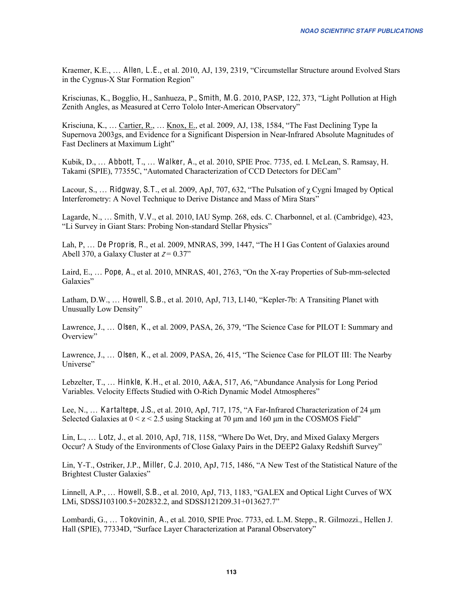Kraemer, K.E., ... Allen, L.E., et al. 2010, AJ, 139, 2319, "Circumstellar Structure around Evolved Stars in the Cygnus-X Star Formation Region"

Krisciunas, K., Bogglio, H., Sanhueza, P., Smith, M.G. 2010, PASP, 122, 373, "Light Pollution at High Zenith Angles, as Measured at Cerro Tololo Inter-American Observatory"

Krisciuna, K., ... Cartier, R., ... Knox, E., et al. 2009, AJ, 138, 1584, "The Fast Declining Type Ia Supernova 2003gs, and Evidence for a Significant Dispersion in Near-Infrared Absolute Magnitudes of Fast Decliners at Maximum Light"

Kubik, D., ... Abbott, T., ... Walker, A., et al. 2010, SPIE Proc. 7735, ed. I. McLean, S. Ramsay, H. Takami (SPIE), 77355C, "Automated Characterization of CCD Detectors for DECam"

Lacour, S., ... Ridgway, S.T., et al. 2009, ApJ, 707, 632, "The Pulsation of  $\gamma$  Cygni Imaged by Optical Interferometry: A Novel Technique to Derive Distance and Mass of Mira Stars"

Lagarde, N., ... Smith, V.V., et al. 2010, IAU Symp. 268, eds. C. Charbonnel, et al. (Cambridge), 423, "Li Survey in Giant Stars: Probing Non-standard Stellar Physics"

Lah, P. ... De Propris, R., et al. 2009, MNRAS, 399, 1447, "The H I Gas Content of Galaxies around Abell 370, a Galaxy Cluster at  $z = 0.37$ "

Laird, E., ... Pope, A., et al. 2010, MNRAS, 401, 2763, "On the X-ray Properties of Sub-mm-selected Galaxies"

Latham, D.W., ... Howell, S.B., et al. 2010, ApJ, 713, L140, "Kepler-7b: A Transiting Planet with Unusually Low Density"

Lawrence, J., ... Olsen, K., et al. 2009, PASA, 26, 379, "The Science Case for PILOT I: Summary and Overview"

Lawrence, J., ... Olsen, K., et al. 2009, PASA, 26, 415, "The Science Case for PILOT III: The Nearby Universe"

Lebzelter, T., ... Hinkle, K.H., et al. 2010, A&A, 517, A6, "Abundance Analysis for Long Period Variables. Velocity Effects Studied with O-Rich Dynamic Model Atmospheres"

Lee, N., ... Kartaltepe, J.S., et al. 2010, ApJ, 717, 175, "A Far-Infrared Characterization of 24 µm Selected Galaxies at  $0 \le z \le 2.5$  using Stacking at 70  $\mu$ m and 160  $\mu$ m in the COSMOS Field"

Lin, L., ... Lotz, J., et al. 2010, ApJ, 718, 1158, "Where Do Wet, Dry, and Mixed Galaxy Mergers Occur? A Study of the Environments of Close Galaxy Pairs in the DEEP2 Galaxy Redshift Survey"

Lin, Y-T., Ostriker, J.P., Miller, C.J. 2010, ApJ, 715, 1486, "A New Test of the Statistical Nature of the **Brightest Cluster Galaxies"** 

Linnell, A.P., ... Howell, S.B., et al. 2010, ApJ, 713, 1183, "GALEX and Optical Light Curves of WX LMi, SDSSJ103100.5+202832.2, and SDSSJ121209.31+013627.7"

Lombardi, G., ... Tokovinin, A., et al. 2010, SPIE Proc. 7733, ed. L.M. Stepp., R. Gilmozzi., Hellen J. Hall (SPIE), 77334D, "Surface Laver Characterization at Paranal Observatory"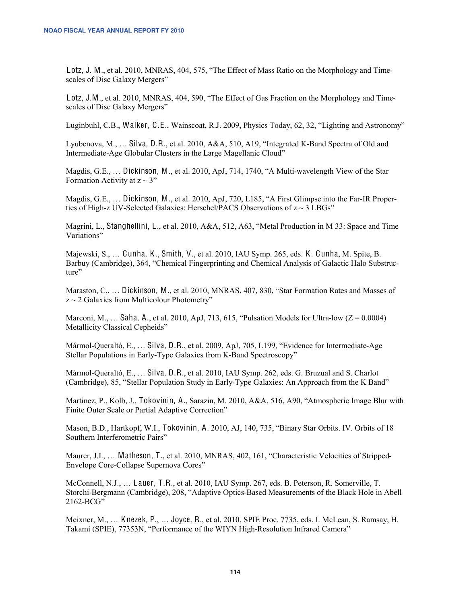Lotz, J. M., et al. 2010, MNRAS, 404, 575, "The Effect of Mass Ratio on the Morphology and Timescales of Disc Galaxy Mergers"

Lotz, J.M., et al. 2010, MNRAS, 404, 590, "The Effect of Gas Fraction on the Morphology and Timescales of Disc Galaxy Mergers"

Luginbuhl, C.B., Walker, C.E., Wainscoat, R.J. 2009, Physics Today, 62, 32, "Lighting and Astronomy"

Lyubenova, M.,  $\dots$  Silva, D.R., et al. 2010, A&A, 510, A19, "Integrated K-Band Spectra of Old and Intermediate-Age Globular Clusters in the Large Magellanic Cloud"

Magdis, G.E., ... Dickinson, M., et al. 2010, ApJ, 714, 1740, "A Multi-wavelength View of the Star Formation Activity at  $z \sim 3$ "

Magdis, G.E. ... Dickinson, M., et al. 2010, ApJ, 720, L185. "A First Glimpse into the Far-IR Properties of High-z UV-Selected Galaxies: Herschel/PACS Observations of  $z \sim 3$  LBGs"

Magrini, L., Stanghellini, L., et al. 2010, A&A, 512, A63, "Metal Production in M 33: Space and Time Variations"

Majewski, S., ... Cunha, K., Smith, V., et al. 2010, IAU Symp. 265, eds. K. Cunha, M. Spite, B. Barbuy (Cambridge), 364, "Chemical Fingerprinting and Chemical Analysis of Galactic Halo Substructure"

Maraston, C., ... Dickinson, M., et al. 2010, MNRAS, 407, 830, "Star Formation Rates and Masses of  $z \sim 2$  Galaxies from Multicolour Photometry"

Marconi, M., ... Saha, A., et al. 2010, ApJ, 713, 615, "Pulsation Models for Ultra-low ( $Z = 0.0004$ ) Metallicity Classical Cepheids"

Mármol-Queraltó, E., ... Silva, D.R., et al. 2009, ApJ, 705, L199, "Evidence for Intermediate-Age Stellar Populations in Early-Type Galaxies from K-Band Spectroscopy"

Mármol-Queraltó, E., ... Silva, D.R., et al. 2010, IAU Symp. 262, eds. G. Bruzual and S. Charlot (Cambridge), 85, "Stellar Population Study in Early-Type Galaxies: An Approach from the K Band"

Martinez, P., Kolb, J., Tokovinin, A., Sarazin, M. 2010, A&A, 516, A90, "Atmospheric Image Blur with Finite Outer Scale or Partial Adaptive Correction"

Mason, B.D., Hartkopf, W.I., Tokovinin, A. 2010, AJ, 140, 735. "Binary Star Orbits. IV. Orbits of 18 Southern Interferometric Pairs"

Maurer, J.I., ... Matheson, T., et al. 2010, MNRAS, 402, 161, "Characteristic Velocities of Stripped-Envelope Core-Collapse Supernova Cores"

McConnell, N.J., ... Lauer, T.R., et al. 2010, IAU Symp. 267, eds. B. Peterson, R. Somerville, T. Storchi-Bergmann (Cambridge), 208, "Adaptive Optics-Based Measurements of the Black Hole in Abell 2162-BCG"

Meixner, M., ... Knezek, P., ... Joyce, R., et al. 2010, SPIE Proc. 7735, eds. I. McLean, S. Ramsay, H. Takami (SPIE), 77353N, "Performance of the WIYN High-Resolution Infrared Camera"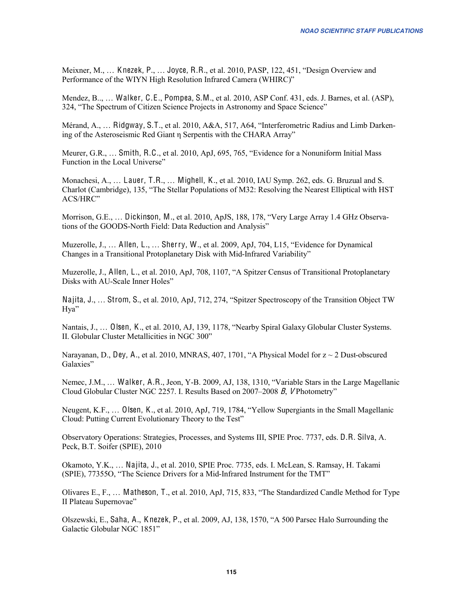Meixner, M., ... Knezek, P., ... Joyce, R.R., et al. 2010, PASP, 122, 451, "Design Overview and Performance of the WIYN High Resolution Infrared Camera (WHIRC)"

Mendez, B., ... Walker, C.E., Pompea, S.M., et al. 2010, ASP Conf. 431, eds. J. Barnes, et al. (ASP), 324, "The Spectrum of Citizen Science Projects in Astronomy and Space Science"

Mérand, A., ... Ridgway, S.T., et al. 2010, A&A, 517, A64, "Interferometric Radius and Limb Darkening of the Asteroseismic Red Giant n Serpentis with the CHARA Array"

Meurer, G.R., ... Smith, R.C., et al. 2010, ApJ, 695, 765, "Evidence for a Nonuniform Initial Mass Function in the Local Universe"

Monachesi, A., ... Lauer, T.R., ... Mighell, K., et al. 2010, IAU Symp. 262, eds. G. Bruzual and S. Charlot (Cambridge), 135, "The Stellar Populations of M32: Resolving the Nearest Elliptical with HST **ACS/HRC"** 

Morrison, G.E., ... Dickinson, M., et al. 2010, ApJS, 188, 178, "Very Large Array 1.4 GHz Observations of the GOODS-North Field: Data Reduction and Analysis"

Muzerolle, J., ... Allen, L., ... Sherry, W., et al. 2009, ApJ, 704, L15, "Evidence for Dynamical Changes in a Transitional Protoplanetary Disk with Mid-Infrared Variability"

Muzerolle, J., Allen, L., et al. 2010, ApJ, 708, 1107, "A Spitzer Census of Transitional Protoplanetary Disks with AU-Scale Inner Holes"

Najita, J., ... Strom, S., et al. 2010, ApJ, 712, 274, "Spitzer Spectroscopy of the Transition Object TW Hya"

Nantais, J., ... Olsen, K., et al. 2010, AJ, 139, 1178, "Nearby Spiral Galaxy Globular Cluster Systems. II. Globular Cluster Metallicities in NGC 300"

Narayanan, D., Dey, A., et al. 2010, MNRAS, 407, 1701, "A Physical Model for  $z \sim 2$  Dust-obscured Galaxies"

Nemec, J.M., ... Walker, A.R., Jeon, Y-B. 2009, AJ, 138, 1310, "Variable Stars in the Large Magellanic Cloud Globular Cluster NGC 2257. I. Results Based on 2007–2008 B. V Photometry"

Neugent, K.F., ... Olsen, K., et al. 2010, ApJ, 719, 1784, "Yellow Supergiants in the Small Magellanic Cloud: Putting Current Evolutionary Theory to the Test"

Observatory Operations: Strategies, Processes, and Systems III, SPIE Proc. 7737, eds. D.R. Silva, A. Peck, B.T. Soifer (SPIE), 2010

Okamoto, Y.K., ... Najita, J., et al. 2010, SPIE Proc. 7735, eds. I. McLean, S. Ramsay, H. Takami (SPIE), 773550, "The Science Drivers for a Mid-Infrared Instrument for the TMT"

Olivares E., F., ... Matheson, T., et al. 2010, ApJ, 715, 833, "The Standardized Candle Method for Type II Plateau Supernovae"

Olszewski, E., Saha, A., Knezek, P., et al. 2009, AJ, 138, 1570, "A 500 Parsec Halo Surrounding the Galactic Globular NGC 1851"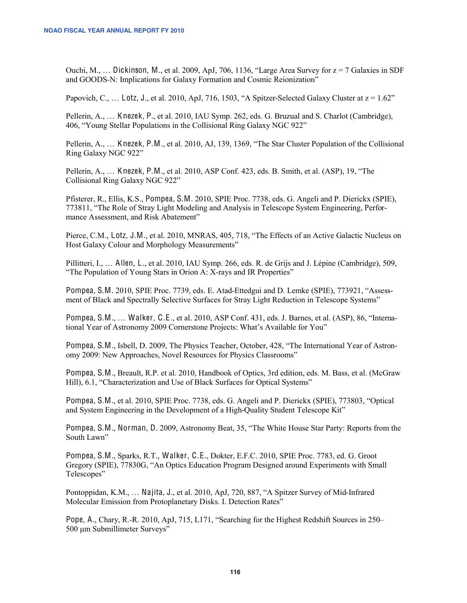Ouchi, M., ... Dickinson, M., et al. 2009, ApJ, 706, 1136, "Large Area Survey for  $z = 7$  Galaxies in SDF and GOODS-N: Implications for Galaxy Formation and Cosmic Reionization"

Papovich, C., ... Lotz, J., et al. 2010, ApJ, 716, 1503, "A Spitzer-Selected Galaxy Cluster at  $z = 1.62$ "

Pellerin, A., ... Knezek, P., et al. 2010, IAU Symp. 262, eds. G. Bruzual and S. Charlot (Cambridge), 406, "Young Stellar Populations in the Collisional Ring Galaxy NGC 922"

Pellerin, A., ... Knezek, P.M., et al. 2010, AJ. 139, 1369, "The Star Cluster Population of the Collisional Ring Galaxy NGC 922"

Pellerin, A., ... Knezek, P.M., et al. 2010, ASP Conf. 423, eds. B. Smith, et al. (ASP), 19, "The Collisional Ring Galaxy NGC 922"

Pfisterer, R., Ellis, K.S., Pompea, S.M. 2010, SPIE Proc. 7738, eds. G. Angeli and P. Dierickx (SPIE), 773811, "The Role of Stray Light Modeling and Analysis in Telescope System Engineering, Performance Assessment, and Risk Abatement"

Pierce, C.M., Lotz, J.M., et al. 2010, MNRAS, 405, 718, "The Effects of an Active Galactic Nucleus on Host Galaxy Colour and Morphology Measurements"

Pillitteri, I., ... Allen, L., et al. 2010, IAU Symp. 266, eds. R. de Grijs and J. Lépine (Cambridge), 509, "The Population of Young Stars in Orion A: X-rays and IR Properties"

Pompea, S.M. 2010, SPIE Proc. 7739, eds. E. Atad-Ettedgui and D. Lemke (SPIE), 773921, "Assessment of Black and Spectrally Selective Surfaces for Stray Light Reduction in Telescope Systems"

Pompea, S.M.,  $\dots$  Walker, C.E., et al. 2010, ASP Conf. 431, eds. J. Barnes, et al. (ASP), 86, "International Year of Astronomy 2009 Cornerstone Projects: What's Available for You"

Pompea, S.M., Isbell, D. 2009, The Physics Teacher, October, 428, "The International Year of Astronomy 2009: New Approaches, Novel Resources for Physics Classrooms"

Pompea, S.M., Breault, R.P. et al. 2010, Handbook of Optics, 3rd edition, eds. M. Bass, et al. (McGraw Hill), 6.1, "Characterization and Use of Black Surfaces for Optical Systems"

Pompea, S.M., et al. 2010, SPIE Proc. 7738, eds. G. Angeli and P. Dierickx (SPIE), 773803, "Optical and System Engineering in the Development of a High-Quality Student Telescope Kit"

Pompea, S.M., Norman, D. 2009, Astronomy Beat, 35, "The White House Star Party: Reports from the South Lawn"

Pompea, S.M., Sparks, R.T., Walker, C.E., Dokter, E.F.C. 2010, SPIE Proc. 7783, ed. G. Groot Gregory (SPIE), 77830G, "An Optics Education Program Designed around Experiments with Small Telescopes"

Pontoppidan, K.M., ... Najita, J., et al. 2010, ApJ, 720, 887, "A Spitzer Survey of Mid-Infrared Molecular Emission from Protoplanetary Disks. I. Detection Rates"

Pope, A., Chary, R.-R. 2010, ApJ, 715, L171, "Searching for the Highest Redshift Sources in 250– 500 um Submillimeter Surveys"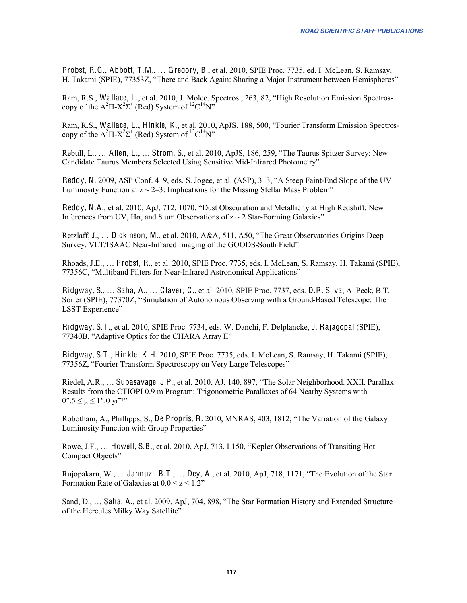Probst, R.G., Abbott, T.M., ... Gregory, B., et al. 2010, SPIE Proc. 7735, ed. I. McLean, S. Ramsay, H. Takami (SPIE), 77353Z, "There and Back Again: Sharing a Major Instrument between Hemispheres"

Ram, R.S., Wallace, L., et al. 2010, J. Molec. Spectros., 263, 82, "High Resolution Emission Spectroscopy of the  $A^2\Pi - X^2\Sigma$ <sup>+</sup> (Red) System of <sup>12</sup>C<sup>14</sup>N<sup>\*</sup>

Ram, R.S., Wallace, L., Hinkle, K., et al. 2010, ApJS, 188, 500, "Fourier Transform Emission Spectroscopy of the  $A^2\Pi - X^2\Sigma$ <sup>+</sup> (Red) System of <sup>13</sup>C<sup>14</sup>N<sup>2</sup>

Rebull, L., ... Allen, L., ... Strom, S., et al. 2010, ApJS, 186, 259, "The Taurus Spitzer Survey: New Candidate Taurus Members Selected Using Sensitive Mid-Infrared Photometry"

Reddy, N. 2009, ASP Conf. 419, eds. S. Jogee, et al. (ASP), 313, "A Steep Faint-End Slope of the UV Luminosity Function at  $z \sim 2-3$ : Implications for the Missing Stellar Mass Problem"

Reddy, N.A., et al. 2010, ApJ, 712, 1070, "Dust Obscuration and Metallicity at High Redshift: New Inferences from UV, H $\alpha$ , and 8  $\mu$ m Observations of  $z \sim 2$  Star-Forming Galaxies"

Retzlaff, J., ... Dickinson, M., et al. 2010, A&A, 511, A50, "The Great Observatories Origins Deep Survey. VLT/ISAAC Near-Infrared Imaging of the GOODS-South Field"

Rhoads, J.E., ... Probst, R., et al. 2010, SPIE Proc. 7735, eds. I. McLean, S. Ramsay, H. Takami (SPIE), 77356C, "Multiband Filters for Near-Infrared Astronomical Applications"

Ridgway, S., ... Saha, A., ... Claver, C., et al. 2010, SPIE Proc. 7737, eds. D.R. Silva, A. Peck, B.T. Soifer (SPIE), 77370Z, "Simulation of Autonomous Observing with a Ground-Based Telescope: The **LSST** Experience"

Ridgway, S.T., et al. 2010, SPIE Proc. 7734, eds. W. Danchi, F. Delplancke, J. Rajagopal (SPIE), 77340B, "Adaptive Optics for the CHARA Array II"

Ridgway, S.T., Hinkle, K.H. 2010, SPIE Proc. 7735, eds. I. McLean, S. Ramsay, H. Takami (SPIE), 77356Z, "Fourier Transform Spectroscopy on Very Large Telescopes"

Riedel, A.R., ... Subasavage, J.P., et al. 2010, AJ, 140, 897, "The Solar Neighborhood. XXII. Parallax Results from the CTIOPI 0.9 m Program: Trigonometric Parallaxes of 64 Nearby Systems with  $0''.5 \leq \mu \leq 1''.0 \text{ yr}^{-1}$ "

Robotham, A., Phillipps, S., De Propris, R. 2010, MNRAS, 403, 1812, "The Variation of the Galaxy Luminosity Function with Group Properties"

Rowe, J.F., ... Howell, S.B., et al. 2010, ApJ, 713, L150, "Kepler Observations of Transiting Hot Compact Objects"

Rujopakarn, W., ... Jannuzi, B.T., ... Dey, A., et al. 2010, ApJ, 718, 1171, "The Evolution of the Star Formation Rate of Galaxies at  $0.0 \le z \le 1.2$ "

Sand, D., ... Saha, A., et al. 2009, ApJ, 704, 898, "The Star Formation History and Extended Structure of the Hercules Milky Way Satellite"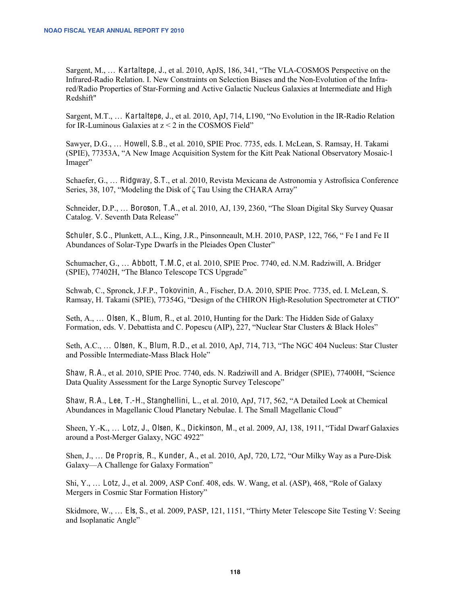Sargent, M., ... Kartaltepe, J., et al. 2010, ApJS, 186, 341, "The VLA-COSMOS Perspective on the Infrared-Radio Relation. I. New Constraints on Selection Biases and the Non-Evolution of the Infrared/Radio Properties of Star-Forming and Active Galactic Nucleus Galaxies at Intermediate and High Redshift"

Sargent, M.T., ... Kartaltepe, J., et al. 2010, ApJ, 714, L190, "No Evolution in the IR-Radio Relation for IR-Luminous Galaxies at  $z < 2$  in the COSMOS Field"

Sawyer, D.G., ... Howell, S.B., et al. 2010, SPIE Proc. 7735, eds. I. McLean, S. Ramsay, H. Takami (SPIE), 77353A, "A New Image Acquisition System for the Kitt Peak National Observatory Mosaic-1 Imager"

Schaefer, G., ... Ridgway, S.T., et al. 2010, Revista Mexicana de Astronomia y Astrofísica Conference Series, 38, 107, "Modeling the Disk of  $\zeta$  Tau Using the CHARA Array"

Schneider, D.P., ... Boroson, T.A., et al. 2010, AJ, 139, 2360, "The Sloan Digital Sky Survey Quasar Catalog. V. Seventh Data Release"

Schuler, S.C., Plunkett, A.L., King, J.R., Pinsonneault, M.H. 2010, PASP, 122, 766, "Fe I and Fe II Abundances of Solar-Type Dwarfs in the Pleiades Open Cluster"

Schumacher, G., ... Abbott, T.M.C. et al. 2010, SPIE Proc. 7740, ed. N.M. Radziwill, A. Bridger (SPIE), 77402H, "The Blanco Telescope TCS Upgrade"

Schwab, C., Spronck, J.F.P., Tokovinin, A., Fischer, D.A. 2010, SPIE Proc. 7735, ed. I. McLean, S. Ramsay, H. Takami (SPIE), 77354G, "Design of the CHIRON High-Resolution Spectrometer at CTIO"

Seth, A., ... Olsen, K., Blum, R., et al. 2010, Hunting for the Dark: The Hidden Side of Galaxy Formation, eds. V. Debattista and C. Popescu (AIP), 227, "Nuclear Star Clusters & Black Holes"

Seth, A.C., ... Olsen, K., Blum, R.D., et al. 2010, ApJ, 714, 713, "The NGC 404 Nucleus: Star Cluster and Possible Intermediate-Mass Black Hole"

Shaw, R.A., et al. 2010, SPIE Proc. 7740, eds. N. Radziwill and A. Bridger (SPIE), 77400H, "Science Data Ouality Assessment for the Large Synoptic Survey Telescope"

Shaw, R.A., Lee, T.-H., Stanghellini, L., et al. 2010, ApJ, 717, 562, "A Detailed Look at Chemical Abundances in Magellanic Cloud Planetary Nebulae. I. The Small Magellanic Cloud"

Sheen, Y.-K., ... Lotz, J., Olsen, K., Dickinson, M., et al. 2009, AJ, 138, 1911, "Tidal Dwarf Galaxies around a Post-Merger Galaxy, NGC 4922"

Shen, J., ... De Propris, R., Kunder, A., et al. 2010, ApJ, 720, L72, "Our Milky Way as a Pure-Disk Galaxy-A Challenge for Galaxy Formation"

Shi, Y., ... Lotz, J., et al. 2009, ASP Conf. 408, eds. W. Wang, et al. (ASP), 468, "Role of Galaxy Mergers in Cosmic Star Formation History"

Skidmore, W., ... Els, S., et al. 2009, PASP, 121, 1151, "Thirty Meter Telescope Site Testing V: Seeing and Isoplanatic Angle"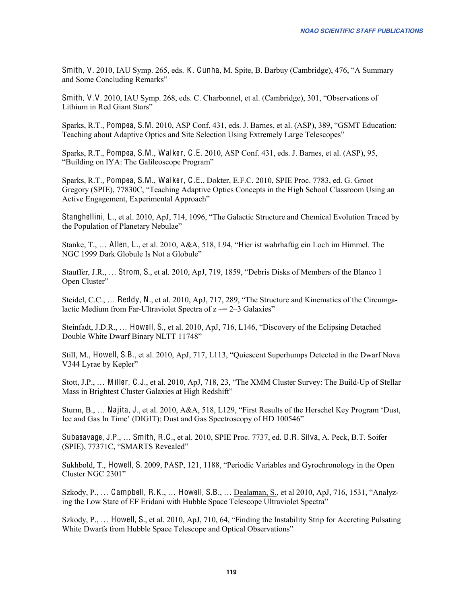Smith, V. 2010, IAU Symp. 265, eds. K. Cunha, M. Spite, B. Barbuy (Cambridge), 476, "A Summary and Some Concluding Remarks"

Smith, V.V. 2010, IAU Symp. 268, eds. C. Charbonnel, et al. (Cambridge), 301, "Observations of Lithium in Red Giant Stars"

Sparks, R.T., Pompea, S.M. 2010, ASP Conf. 431, eds. J. Barnes, et al. (ASP), 389, "GSMT Education: Teaching about Adaptive Optics and Site Selection Using Extremely Large Telescopes"

Sparks, R.T., Pompea, S.M., Walker, C.E. 2010, ASP Conf. 431, eds. J. Barnes, et al. (ASP), 95, "Building on IYA: The Galileoscope Program"

Sparks, R.T., Pompea, S.M., Walker, C.E., Dokter, E.F.C. 2010, SPIE Proc. 7783, ed. G. Groot Gregory (SPIE), 77830C, "Teaching Adaptive Optics Concepts in the High School Classroom Using an Active Engagement, Experimental Approach"

Stanghellini, L., et al. 2010, ApJ, 714, 1096, "The Galactic Structure and Chemical Evolution Traced by the Population of Planetary Nebulae"

Stanke, T.,  $\ldots$  Allen, L., et al. 2010, A&A, 518, L94, "Hier ist wahrhaftig ein Loch im Himmel. The NGC 1999 Dark Globule Is Not a Globule"

Stauffer, J.R., ... Strom, S., et al. 2010, ApJ, 719, 1859, "Debris Disks of Members of the Blanco 1 Open Cluster"

Steidel, C.C., ... Reddy, N., et al. 2010, ApJ, 717, 289, "The Structure and Kinematics of the Circumgalactic Medium from Far-Ultraviolet Spectra of  $z \sim = 2-3$  Galaxies"

Steinfadt, J.D.R.,  $\ldots$  Howell, S., et al. 2010, ApJ, 716, L146, "Discovery of the Eclipsing Detached Double White Dwarf Binary NLTT 11748"

Still, M., Howell, S.B., et al. 2010, ApJ, 717, L113, "Quiescent Superhumps Detected in the Dwarf Nova V344 Lyrae by Kepler"

Stott, J.P., ... Miller, C.J., et al. 2010, ApJ, 718, 23, "The XMM Cluster Survey: The Build-Up of Stellar Mass in Brightest Cluster Galaxies at High Redshift"

Sturm, B.,  $\ldots$  Najita, J., et al. 2010, A&A, 518, L129, "First Results of the Herschel Key Program 'Dust, Ice and Gas In Time' (DIGIT): Dust and Gas Spectroscopy of HD 100546"

Subasavage, J.P., ... Smith, R.C., et al. 2010, SPIE Proc. 7737, ed. D.R. Silva, A. Peck, B.T. Soifer (SPIE), 77371C, "SMARTS Revealed"

Sukhbold, T., Howell, S. 2009, PASP, 121, 1188, "Periodic Variables and Gyrochronology in the Open Cluster NGC 2301"

Szkody, P., ... Campbell, R.K., ... Howell, S.B., ... Dealaman, S., et al 2010, ApJ, 716, 1531, "Analyzing the Low State of EF Eridani with Hubble Space Telescope Ultraviolet Spectra"

 $2xkody, P_{1}, \ldots$  Howell, S., et al. 2010, ApJ, 710, 64, "Finding the Instability Strip for Accreting Pulsating White Dwarfs from Hubble Space Telescope and Optical Observations"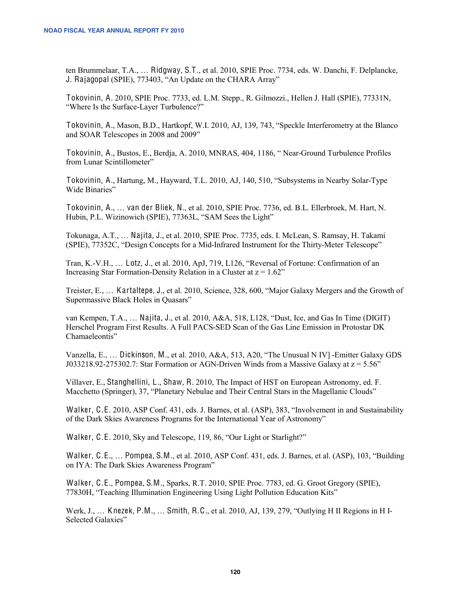ten Brummelaar, T.A., ... Ridgway, S.T., et al. 2010, SPIE Proc. 7734, eds. W. Danchi, F. Delplancke, J. Rajagopal (SPIE), 773403, "An Update on the CHARA Array"

Tokovinin, A. 2010, SPIE Proc. 7733, ed. L.M. Stepp., R. Gilmozzi., Hellen J. Hall (SPIE), 77331N, "Where Is the Surface-Layer Turbulence?"

Tokovinin, A., Mason, B.D., Hartkopf, W.I. 2010, AJ, 139, 743, "Speckle Interferometry at the Blanco and SOAR Telescopes in 2008 and 2009"

Tokovinin, A., Bustos, E., Berdja, A. 2010, MNRAS, 404, 1186, "Near-Ground Turbulence Profiles from Lunar Scintillometer"

Tokovinin, A., Hartung, M., Hayward, T.L. 2010, AJ, 140, 510, "Subsystems in Nearby Solar-Type Wide Binaries"

Tokovinin, A., ... van der Bliek, N., et al. 2010, SPIE Proc. 7736, ed. B.L. Ellerbroek, M. Hart, N. Hubin, P.L. Wizinowich (SPIE), 77363L, "SAM Sees the Light"

Tokunaga, A.T., ... Najita, J., et al. 2010, SPIE Proc. 7735, eds. I. McLean, S. Ramsay, H. Takami (SPIE), 77352C, "Design Concepts for a Mid-Infrared Instrument for the Thirty-Meter Telescope"

Tran, K.-V.H.,  $\ldots$  Lotz, J., et al. 2010, ApJ, 719, L126, "Reversal of Fortune: Confirmation of an Increasing Star Formation-Density Relation in a Cluster at  $z = 1.62$ "

Treister, E., ... Kartaltepe, J., et al. 2010, Science, 328, 600, "Major Galaxy Mergers and the Growth of Supermassive Black Holes in Quasars".

van Kempen, T.A., ... Najita, J., et al. 2010, A&A, 518, L128, "Dust, Ice, and Gas In Time (DIGIT) Herschel Program First Results. A Full PACS-SED Scan of the Gas Line Emission in Protostar DK Chamaeleontis"

Vanzella, E., ... Dickinson, M., et al. 2010, A&A, 513, A20, "The Unusual N IV] -Emitter Galaxy GDS J033218.92-275302.7: Star Formation or AGN-Driven Winds from a Massive Galaxy at  $z = 5.56$ "

Villaver, E., Stanghellini, L., Shaw, R. 2010, The Impact of HST on European Astronomy, ed. F. Macchetto (Springer), 37, "Planetary Nebulae and Their Central Stars in the Magellanic Clouds"

Walker, C.E. 2010, ASP Conf. 431, eds. J. Barnes, et al. (ASP), 383, "Involvement in and Sustainability of the Dark Skies Awareness Programs for the International Year of Astronomy"

Walker, C.E. 2010, Sky and Telescope, 119, 86, "Our Light or Starlight?"

Walker, C.E.,  $\ldots$  Pompea, S.M., et al. 2010, ASP Conf. 431, eds. J. Barnes, et al. (ASP), 103, "Building on IYA: The Dark Skies Awareness Program"

Walker, C.E., Pompea, S.M., Sparks, R.T. 2010, SPIE Proc. 7783, ed. G. Groot Gregory (SPIE), 77830H, "Teaching Illumination Engineering Using Light Pollution Education Kits"

Werk, J., ... Knezek, P.M., ... Smith, R.C., et al. 2010, AJ, 139, 279, "Outlying H II Regions in H I-Selected Galaxies"